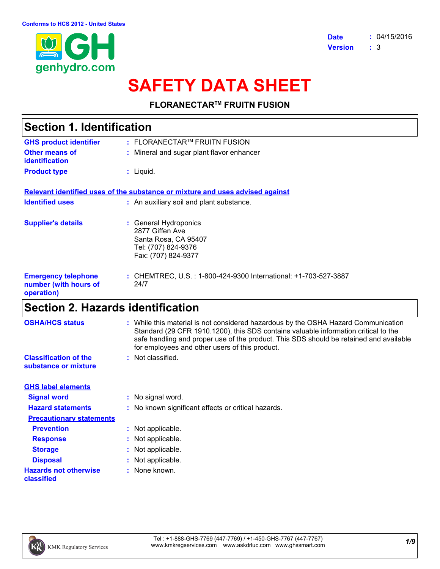

# **SAFETY DATA SHEET**

**FLORANECTARTM FRUITN FUSION**

| Section 1. Identification                                                                                      |  |  |
|----------------------------------------------------------------------------------------------------------------|--|--|
| : FLORANECTAR™ FRUITN FUSION                                                                                   |  |  |
| : Mineral and sugar plant flavor enhancer                                                                      |  |  |
| : Liquid.                                                                                                      |  |  |
| <u>Relevant identified uses of the substance or mixture and uses advised against</u>                           |  |  |
| : An auxiliary soil and plant substance.                                                                       |  |  |
| : General Hydroponics<br>2877 Giffen Ave<br>Santa Rosa, CA 95407<br>Tel: (707) 824-9376<br>Fax: (707) 824-9377 |  |  |
| : CHEMTREC, U.S. : 1-800-424-9300 International: +1-703-527-3887<br>24/7                                       |  |  |
|                                                                                                                |  |  |

### **Section 2. Hazards identification**

| <b>OSHA/HCS status</b>                               | : While this material is not considered hazardous by the OSHA Hazard Communication<br>Standard (29 CFR 1910.1200), this SDS contains valuable information critical to the<br>safe handling and proper use of the product. This SDS should be retained and available<br>for employees and other users of this product. |
|------------------------------------------------------|-----------------------------------------------------------------------------------------------------------------------------------------------------------------------------------------------------------------------------------------------------------------------------------------------------------------------|
| <b>Classification of the</b><br>substance or mixture | : Not classified.                                                                                                                                                                                                                                                                                                     |
| <b>GHS label elements</b>                            |                                                                                                                                                                                                                                                                                                                       |
| <b>Signal word</b>                                   | : No signal word.                                                                                                                                                                                                                                                                                                     |
| <b>Hazard statements</b>                             | : No known significant effects or critical hazards.                                                                                                                                                                                                                                                                   |
| <b>Precautionary statements</b>                      |                                                                                                                                                                                                                                                                                                                       |
| <b>Prevention</b>                                    | : Not applicable.                                                                                                                                                                                                                                                                                                     |
| <b>Response</b>                                      | : Not applicable.                                                                                                                                                                                                                                                                                                     |
| <b>Storage</b>                                       | : Not applicable.                                                                                                                                                                                                                                                                                                     |
| <b>Disposal</b>                                      | : Not applicable.                                                                                                                                                                                                                                                                                                     |
| <b>Hazards not otherwise</b><br>classified           | : None known.                                                                                                                                                                                                                                                                                                         |

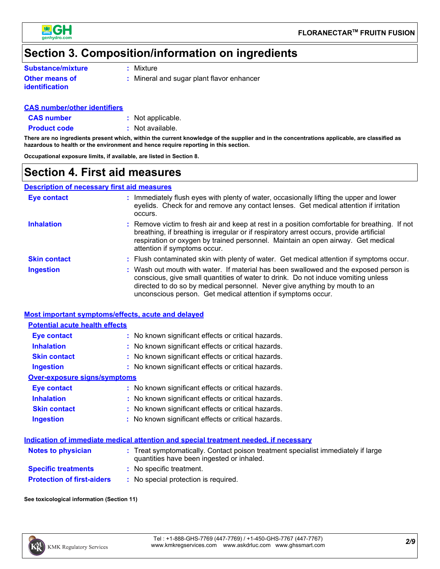

### **Section 3. Composition/information on ingredients**

| <b>Substance/mixture</b> | $:$ Mixture |
|--------------------------|-------------|
|                          |             |

**Other means of identification**

**:** Mineral and sugar plant flavor enhancer

#### **CAS number/other identifiers**

**CAS number :** Not applicable.

**Product code** : Not available.

**There are no ingredients present which, within the current knowledge of the supplier and in the concentrations applicable, are classified as hazardous to health or the environment and hence require reporting in this section.**

**Occupational exposure limits, if available, are listed in Section 8.**

### **Section 4. First aid measures**

#### **Description of necessary first aid measures**

| <b>Eye contact</b>  | : Immediately flush eyes with plenty of water, occasionally lifting the upper and lower<br>eyelids. Check for and remove any contact lenses. Get medical attention if irritation<br>occurs.                                                                                                                              |
|---------------------|--------------------------------------------------------------------------------------------------------------------------------------------------------------------------------------------------------------------------------------------------------------------------------------------------------------------------|
| <b>Inhalation</b>   | : Remove victim to fresh air and keep at rest in a position comfortable for breathing. If not<br>breathing, if breathing is irregular or if respiratory arrest occurs, provide artificial<br>respiration or oxygen by trained personnel. Maintain an open airway. Get medical<br>attention if symptoms occur.            |
| <b>Skin contact</b> | : Flush contaminated skin with plenty of water. Get medical attention if symptoms occur.                                                                                                                                                                                                                                 |
| <b>Ingestion</b>    | : Wash out mouth with water. If material has been swallowed and the exposed person is<br>conscious, give small quantities of water to drink. Do not induce vomiting unless<br>directed to do so by medical personnel. Never give anything by mouth to an<br>unconscious person. Get medical attention if symptoms occur. |

#### **Most important symptoms/effects, acute and delayed**

| <b>Potential acute health effects</b> |                                                     |  |  |  |
|---------------------------------------|-----------------------------------------------------|--|--|--|
| <b>Eye contact</b>                    | : No known significant effects or critical hazards. |  |  |  |
| <b>Inhalation</b>                     | : No known significant effects or critical hazards. |  |  |  |
| <b>Skin contact</b>                   | : No known significant effects or critical hazards. |  |  |  |
| Ingestion                             | : No known significant effects or critical hazards. |  |  |  |
| Over-exposure signs/symptoms          |                                                     |  |  |  |
| Eye contact                           | : No known significant effects or critical hazards. |  |  |  |
| <b>Inhalation</b>                     | : No known significant effects or critical hazards. |  |  |  |
| <b>Skin contact</b>                   | : No known significant effects or critical hazards. |  |  |  |
| <b>Ingestion</b>                      | : No known significant effects or critical hazards. |  |  |  |

#### **Indication of immediate medical attention and special treatment needed, if necessary**

| <b>Notes to physician</b>         | : Treat symptomatically. Contact poison treatment specialist immediately if large<br>quantities have been ingested or inhaled. |
|-----------------------------------|--------------------------------------------------------------------------------------------------------------------------------|
| <b>Specific treatments</b>        | : No specific treatment.                                                                                                       |
| <b>Protection of first-aiders</b> | : No special protection is required.                                                                                           |

**See toxicological information (Section 11)**

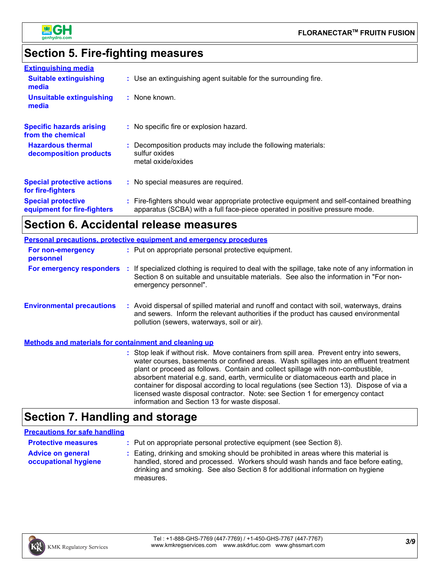

### **Section 5. Fire-fighting measures**

| <b>Extinguishing media</b>                               |                                                                                                                                                                          |
|----------------------------------------------------------|--------------------------------------------------------------------------------------------------------------------------------------------------------------------------|
| <b>Suitable extinguishing</b><br>media                   | : Use an extinguishing agent suitable for the surrounding fire.                                                                                                          |
| <b>Unsuitable extinguishing</b><br>media                 | : None known.                                                                                                                                                            |
| <b>Specific hazards arising</b><br>from the chemical     | : No specific fire or explosion hazard.                                                                                                                                  |
| <b>Hazardous thermal</b><br>decomposition products       | : Decomposition products may include the following materials:<br>sulfur oxides<br>metal oxide/oxides                                                                     |
| <b>Special protective actions</b><br>for fire-fighters   | : No special measures are required.                                                                                                                                      |
| <b>Special protective</b><br>equipment for fire-fighters | : Fire-fighters should wear appropriate protective equipment and self-contained breathing<br>apparatus (SCBA) with a full face-piece operated in positive pressure mode. |

## **Section 6. Accidental release measures**

|                                                       | <b>Personal precautions, protective equipment and emergency procedures</b>                                                                                                                                                                                                                                                                                                                                                                                                                                                               |
|-------------------------------------------------------|------------------------------------------------------------------------------------------------------------------------------------------------------------------------------------------------------------------------------------------------------------------------------------------------------------------------------------------------------------------------------------------------------------------------------------------------------------------------------------------------------------------------------------------|
| For non-emergency<br>personnel                        | : Put on appropriate personal protective equipment.                                                                                                                                                                                                                                                                                                                                                                                                                                                                                      |
|                                                       | For emergency responders : If specialized clothing is required to deal with the spillage, take note of any information in<br>Section 8 on suitable and unsuitable materials. See also the information in "For non-<br>emergency personnel".                                                                                                                                                                                                                                                                                              |
| <b>Environmental precautions</b>                      | : Avoid dispersal of spilled material and runoff and contact with soil, waterways, drains<br>and sewers. Inform the relevant authorities if the product has caused environmental<br>pollution (sewers, waterways, soil or air).                                                                                                                                                                                                                                                                                                          |
| Methods and materials for containment and cleaning up |                                                                                                                                                                                                                                                                                                                                                                                                                                                                                                                                          |
|                                                       | : Stop leak if without risk. Move containers from spill area. Prevent entry into sewers,<br>water courses, basements or confined areas. Wash spillages into an effluent treatment<br>plant or proceed as follows. Contain and collect spillage with non-combustible,<br>absorbent material e.g. sand, earth, vermiculite or diatomaceous earth and place in<br>container for disposal according to local regulations (see Section 13). Dispose of via a<br>licensed waste disposal contractor. Note: see Section 1 for emergency contact |

### **Section 7. Handling and storage**

#### **Precautions for safe handling**

| <b>Protective measures</b>                       | : Put on appropriate personal protective equipment (see Section 8).                                                                                                                                                                                                    |
|--------------------------------------------------|------------------------------------------------------------------------------------------------------------------------------------------------------------------------------------------------------------------------------------------------------------------------|
| <b>Advice on general</b><br>occupational hygiene | : Eating, drinking and smoking should be prohibited in areas where this material is<br>handled, stored and processed. Workers should wash hands and face before eating,<br>drinking and smoking. See also Section 8 for additional information on hygiene<br>measures. |

information and Section 13 for waste disposal.

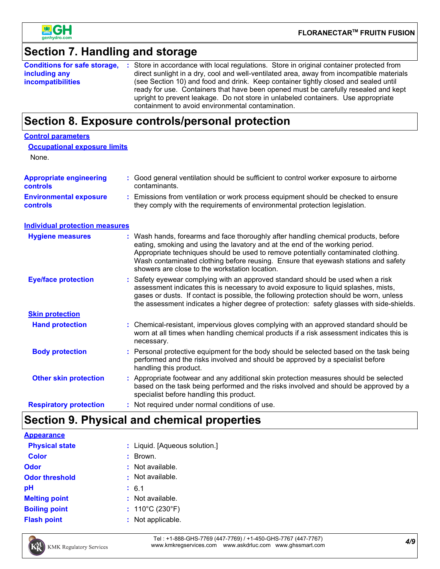

**Control parameters**

### **Section 7. Handling and storage**

|                          | <b>Conditions for safe storage, :</b> Store in accordance with local regulations. Store in original container protected from                                               |
|--------------------------|----------------------------------------------------------------------------------------------------------------------------------------------------------------------------|
| including any            | direct sunlight in a dry, cool and well-ventilated area, away from incompatible materials                                                                                  |
| <b>incompatibilities</b> | (see Section 10) and food and drink. Keep container tightly closed and sealed until<br>ready for use. Containers that have been opened must be carefully resealed and kept |
|                          | upright to prevent leakage. Do not store in unlabeled containers. Use appropriate                                                                                          |
|                          | containment to avoid environmental contamination.                                                                                                                          |

### **Section 8. Exposure controls/personal protection**

| <b>Occupational exposure limits</b><br>None.     |    |                                                                                                                                                                                                                                                                                                                                                                                                 |
|--------------------------------------------------|----|-------------------------------------------------------------------------------------------------------------------------------------------------------------------------------------------------------------------------------------------------------------------------------------------------------------------------------------------------------------------------------------------------|
| <b>Appropriate engineering</b><br>controls       |    | Good general ventilation should be sufficient to control worker exposure to airborne<br>contaminants.                                                                                                                                                                                                                                                                                           |
| <b>Environmental exposure</b><br><b>controls</b> | t. | Emissions from ventilation or work process equipment should be checked to ensure<br>they comply with the requirements of environmental protection legislation.                                                                                                                                                                                                                                  |
| <b>Individual protection measures</b>            |    |                                                                                                                                                                                                                                                                                                                                                                                                 |
| <b>Hygiene measures</b>                          |    | Wash hands, forearms and face thoroughly after handling chemical products, before<br>eating, smoking and using the lavatory and at the end of the working period.<br>Appropriate techniques should be used to remove potentially contaminated clothing.<br>Wash contaminated clothing before reusing. Ensure that eyewash stations and safety<br>showers are close to the workstation location. |
| <b>Eye/face protection</b>                       |    | Safety eyewear complying with an approved standard should be used when a risk<br>assessment indicates this is necessary to avoid exposure to liquid splashes, mists,<br>gases or dusts. If contact is possible, the following protection should be worn, unless<br>the assessment indicates a higher degree of protection: safety glasses with side-shields.                                    |
| <b>Skin protection</b>                           |    |                                                                                                                                                                                                                                                                                                                                                                                                 |
| <b>Hand protection</b>                           |    | Chemical-resistant, impervious gloves complying with an approved standard should be<br>worn at all times when handling chemical products if a risk assessment indicates this is<br>necessary.                                                                                                                                                                                                   |
| <b>Body protection</b>                           |    | Personal protective equipment for the body should be selected based on the task being<br>performed and the risks involved and should be approved by a specialist before<br>handling this product.                                                                                                                                                                                               |
| <b>Other skin protection</b>                     |    | Appropriate footwear and any additional skin protection measures should be selected<br>based on the task being performed and the risks involved and should be approved by a<br>specialist before handling this product.                                                                                                                                                                         |
| <b>Respiratory protection</b>                    |    | : Not required under normal conditions of use.                                                                                                                                                                                                                                                                                                                                                  |

### **Section 9. Physical and chemical properties**

| : Liquid. [Aqueous solution.]        |
|--------------------------------------|
| Brown.<br>÷.                         |
| : Not available.                     |
| : Not available.                     |
| : 6.1                                |
| : Not available.                     |
| : $110^{\circ}$ C (230 $^{\circ}$ F) |
| : Not applicable.                    |
|                                      |



*4/9* Tel : +1-888-GHS-7769 (447-7769) / +1-450-GHS-7767 (447-7767) www.kmkregservices.com www.askdrluc.com www.ghssmart.com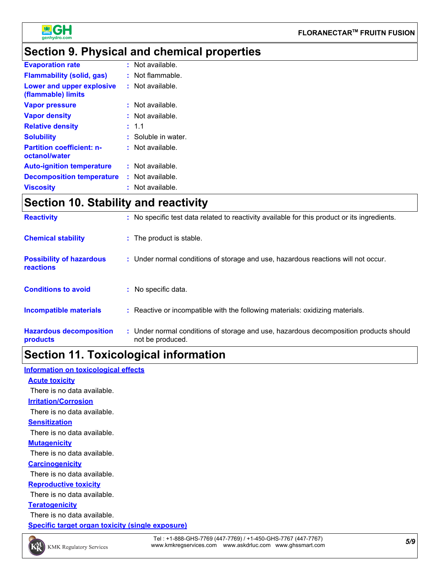

### **Section 9. Physical and chemical properties**

| <b>Evaporation rate</b>                           | $:$ Not available.    |
|---------------------------------------------------|-----------------------|
| <b>Flammability (solid, gas)</b>                  | $:$ Not flammable.    |
| Lower and upper explosive<br>(flammable) limits   | : Not available.      |
| <b>Vapor pressure</b>                             | $:$ Not available.    |
| <b>Vapor density</b>                              | $:$ Not available.    |
| <b>Relative density</b>                           | : 1.1                 |
| <b>Solubility</b>                                 | $:$ Soluble in water. |
| <b>Partition coefficient: n-</b><br>octanol/water | $:$ Not available.    |
| <b>Auto-ignition temperature</b>                  | $:$ Not available.    |
| <b>Decomposition temperature</b>                  | $:$ Not available.    |
| <b>Viscosity</b>                                  | $:$ Not available.    |

### **Section 10. Stability and reactivity**

| <b>Reactivity</b>                                   | : No specific test data related to reactivity available for this product or its ingredients.              |
|-----------------------------------------------------|-----------------------------------------------------------------------------------------------------------|
| <b>Chemical stability</b>                           | : The product is stable.                                                                                  |
| <b>Possibility of hazardous</b><br><b>reactions</b> | : Under normal conditions of storage and use, hazardous reactions will not occur.                         |
| <b>Conditions to avoid</b>                          | : No specific data.                                                                                       |
| <b>Incompatible materials</b>                       | : Reactive or incompatible with the following materials: oxidizing materials.                             |
| <b>Hazardous decomposition</b><br>products          | : Under normal conditions of storage and use, hazardous decomposition products should<br>not be produced. |

### **Section 11. Toxicological information**

#### **Information on toxicological effects**

**Acute toxicity Irritation/Corrosion Sensitization** There is no data available. There is no data available.

There is no data available.

#### **Mutagenicity**

There is no data available.

#### **Carcinogenicity**

There is no data available.

#### **Reproductive toxicity**

There is no data available.

#### **Teratogenicity**

There is no data available.

**Specific target organ toxicity (single exposure)**

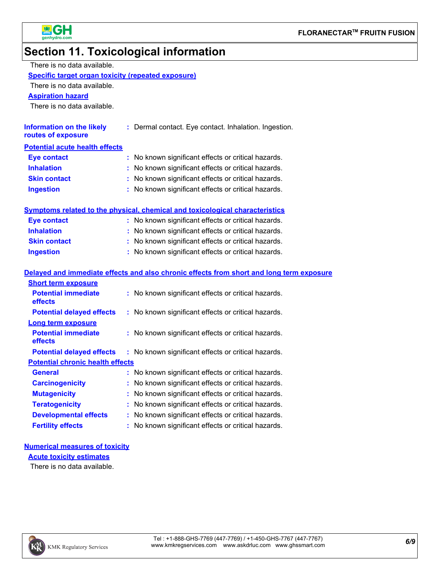

## **Section 11. Toxicological information**

| There is no data available.                               |  |                                                                                          |  |  |
|-----------------------------------------------------------|--|------------------------------------------------------------------------------------------|--|--|
| <b>Specific target organ toxicity (repeated exposure)</b> |  |                                                                                          |  |  |
| There is no data available.                               |  |                                                                                          |  |  |
| <b>Aspiration hazard</b>                                  |  |                                                                                          |  |  |
| There is no data available.                               |  |                                                                                          |  |  |
|                                                           |  |                                                                                          |  |  |
| <b>Information on the likely</b><br>routes of exposure    |  | : Dermal contact. Eye contact. Inhalation. Ingestion.                                    |  |  |
| <b>Potential acute health effects</b>                     |  |                                                                                          |  |  |
| <b>Eye contact</b>                                        |  | No known significant effects or critical hazards.                                        |  |  |
| <b>Inhalation</b>                                         |  | No known significant effects or critical hazards.                                        |  |  |
| <b>Skin contact</b>                                       |  | No known significant effects or critical hazards.                                        |  |  |
| <b>Ingestion</b>                                          |  | No known significant effects or critical hazards.                                        |  |  |
|                                                           |  |                                                                                          |  |  |
|                                                           |  | <b>Symptoms related to the physical, chemical and toxicological characteristics</b>      |  |  |
| <b>Eye contact</b>                                        |  | : No known significant effects or critical hazards.                                      |  |  |
| <b>Inhalation</b>                                         |  | : No known significant effects or critical hazards.                                      |  |  |
| <b>Skin contact</b>                                       |  | No known significant effects or critical hazards.                                        |  |  |
| <b>Ingestion</b>                                          |  | : No known significant effects or critical hazards.                                      |  |  |
|                                                           |  |                                                                                          |  |  |
|                                                           |  | Delayed and immediate effects and also chronic effects from short and long term exposure |  |  |
| <b>Short term exposure</b>                                |  |                                                                                          |  |  |
| <b>Potential immediate</b><br>effects                     |  | : No known significant effects or critical hazards.                                      |  |  |
| <b>Potential delayed effects</b>                          |  | : No known significant effects or critical hazards.                                      |  |  |
| <b>Long term exposure</b>                                 |  |                                                                                          |  |  |
| <b>Potential immediate</b><br>effects                     |  | : No known significant effects or critical hazards.                                      |  |  |
| <b>Potential delayed effects</b>                          |  | : No known significant effects or critical hazards.                                      |  |  |
| <b>Potential chronic health effects</b>                   |  |                                                                                          |  |  |
| <b>General</b>                                            |  | No known significant effects or critical hazards.                                        |  |  |
| <b>Carcinogenicity</b>                                    |  | No known significant effects or critical hazards.                                        |  |  |
| <b>Mutagenicity</b>                                       |  | No known significant effects or critical hazards.                                        |  |  |
| <b>Teratogenicity</b>                                     |  | No known significant effects or critical hazards.                                        |  |  |
| <b>Developmental effects</b>                              |  | No known significant effects or critical hazards.                                        |  |  |
| <b>Fertility effects</b>                                  |  | No known significant effects or critical hazards.                                        |  |  |

### **Numerical measures of toxicity**

**Acute toxicity estimates**

There is no data available.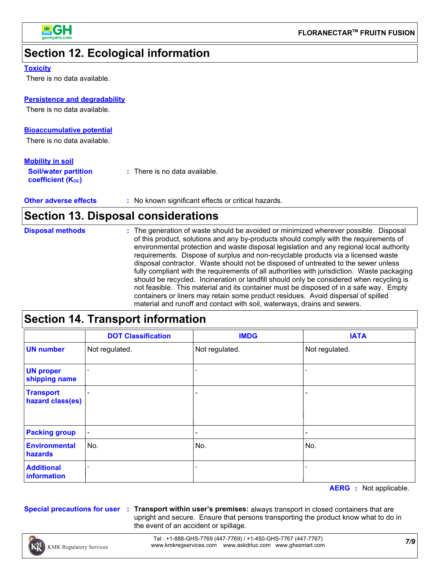

### **Section 12. Ecological information**

#### **Toxicity**

There is no data available.

#### **Persistence and degradability**

There is no data available.

#### **Bioaccumulative potential**

There is no data available.

#### **Mobility in soil**

| <b>Soil/water partition</b><br><b>coefficient (Koc)</b> | : There is no data available. |
|---------------------------------------------------------|-------------------------------|
|                                                         |                               |

**Other adverse effects** : No known significant effects or critical hazards.

### **Section 13. Disposal considerations**

| <b>Disposal methods</b> | : The generation of waste should be avoided or minimized wherever possible. Disposal        |
|-------------------------|---------------------------------------------------------------------------------------------|
|                         | of this product, solutions and any by-products should comply with the requirements of       |
|                         | environmental protection and waste disposal legislation and any regional local authority    |
|                         | requirements. Dispose of surplus and non-recyclable products via a licensed waste           |
|                         | disposal contractor. Waste should not be disposed of untreated to the sewer unless          |
|                         | fully compliant with the requirements of all authorities with jurisdiction. Waste packaging |
|                         | should be recycled. Incineration or landfill should only be considered when recycling is    |
|                         | not feasible. This material and its container must be disposed of in a safe way. Empty      |
|                         | containers or liners may retain some product residues. Avoid dispersal of spilled           |
|                         | material and runoff and contact with soil, waterways, drains and sewers.                    |

### **Section 14. Transport information**

|                                      | <b>DOT Classification</b> | <b>IMDG</b>    | <b>IATA</b>    |
|--------------------------------------|---------------------------|----------------|----------------|
| <b>UN number</b>                     | Not regulated.            | Not regulated. | Not regulated. |
| <b>UN proper</b><br>shipping name    |                           |                |                |
| <b>Transport</b><br>hazard class(es) |                           |                |                |
| <b>Packing group</b>                 | $\blacksquare$            |                |                |
| <b>Environmental</b><br>hazards      | No.                       | No.            | No.            |
| <b>Additional</b><br>information     |                           |                |                |

**AERG :** Not applicable.

**Special precautions for user Transport within user's premises:** always transport in closed containers that are **:** upright and secure. Ensure that persons transporting the product know what to do in the event of an accident or spillage.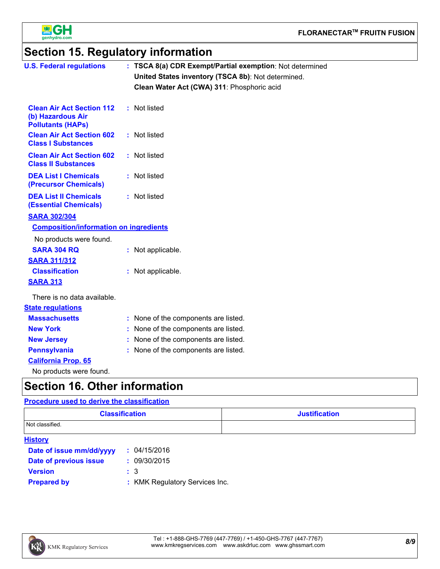

### **Section 15. Regulatory information**

| <b>U.S. Federal regulations</b>                                                   | : TSCA 8(a) CDR Exempt/Partial exemption: Not determined<br>United States inventory (TSCA 8b): Not determined.<br>Clean Water Act (CWA) 311: Phosphoric acid |
|-----------------------------------------------------------------------------------|--------------------------------------------------------------------------------------------------------------------------------------------------------------|
| <b>Clean Air Act Section 112</b><br>(b) Hazardous Air<br><b>Pollutants (HAPs)</b> | : Not listed                                                                                                                                                 |
| <b>Clean Air Act Section 602</b><br><b>Class I Substances</b>                     | : Not listed                                                                                                                                                 |
| <b>Clean Air Act Section 602</b><br><b>Class II Substances</b>                    | : Not listed                                                                                                                                                 |
| <b>DEA List I Chemicals</b><br>(Precursor Chemicals)                              | : Not listed                                                                                                                                                 |
| <b>DEA List II Chemicals</b><br><b>(Essential Chemicals)</b>                      | : Not listed                                                                                                                                                 |
| <b>SARA 302/304</b>                                                               |                                                                                                                                                              |
| <b>Composition/information on ingredients</b>                                     |                                                                                                                                                              |
| No products were found.                                                           |                                                                                                                                                              |
| <b>SARA 304 RQ</b>                                                                | : Not applicable.                                                                                                                                            |
| <b>SARA 311/312</b>                                                               |                                                                                                                                                              |
| <b>Classification</b>                                                             | : Not applicable.                                                                                                                                            |
| <b>SARA 313</b>                                                                   |                                                                                                                                                              |
| There is no data available.                                                       |                                                                                                                                                              |
| <b>State regulations</b>                                                          |                                                                                                                                                              |
| <b>Massachusetts</b>                                                              | : None of the components are listed.                                                                                                                         |
| <b>New York</b>                                                                   | : None of the components are listed.                                                                                                                         |
| <b>New Jersey</b>                                                                 | None of the components are listed.                                                                                                                           |
| <b>Pennsylvania</b>                                                               | : None of the components are listed.                                                                                                                         |
| <b>California Prop. 65</b>                                                        |                                                                                                                                                              |
| No products were found.                                                           |                                                                                                                                                              |
| <b>Section 16. Other information</b>                                              |                                                                                                                                                              |

| <b>Procedure used to derive the classification</b> |                                |                      |  |
|----------------------------------------------------|--------------------------------|----------------------|--|
| <b>Classification</b>                              |                                | <b>Justification</b> |  |
| Not classified.                                    |                                |                      |  |
| <b>History</b>                                     |                                |                      |  |
| Date of issue mm/dd/yyyy                           | : 04/15/2016                   |                      |  |
| Date of previous issue                             | : 09/30/2015                   |                      |  |
| <b>Version</b>                                     | : 3                            |                      |  |
| <b>Prepared by</b>                                 | : KMK Regulatory Services Inc. |                      |  |